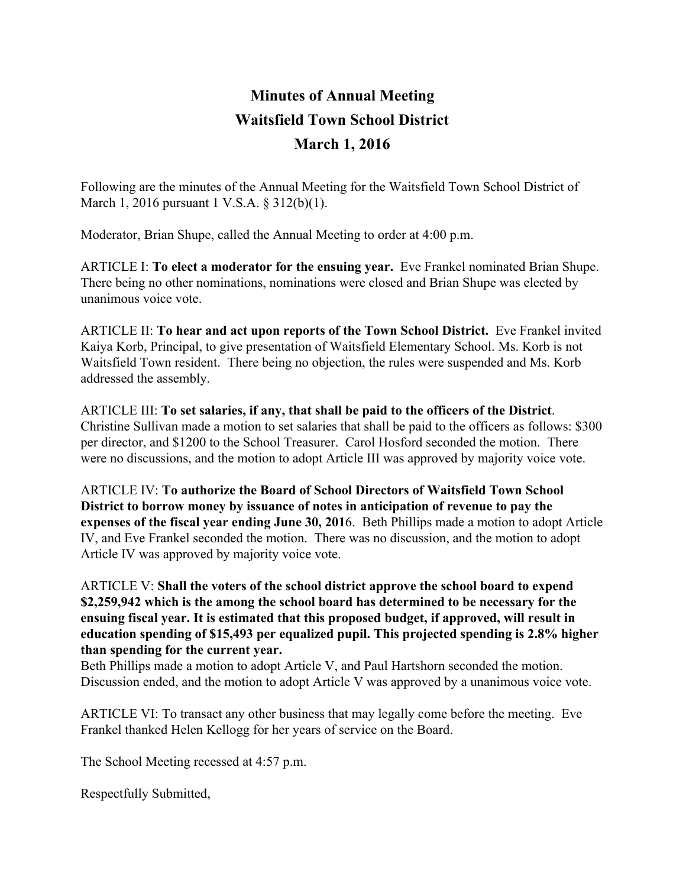## **Minutes of Annual Meeting Waitsfield Town School District March 1, 2016**

Following are the minutes of the Annual Meeting for the Waitsfield Town School District of March 1, 2016 pursuant 1 V.S.A. § 312(b)(1).

Moderator, Brian Shupe, called the Annual Meeting to order at 4:00 p.m.

ARTICLE I: **To elect a moderator for the ensuing year.**Eve Frankel nominated Brian Shupe. There being no other nominations, nominations were closed and Brian Shupe was elected by unanimous voice vote.

ARTICLE II: **To hear and act upon reports of the Town School District.**Eve Frankel invited Kaiya Korb, Principal, to give presentation of Waitsfield Elementary School. Ms. Korb is not Waitsfield Town resident. There being no objection, the rules were suspended and Ms. Korb addressed the assembly.

ARTICLE III: **To set salaries, if any, that shall be paid to the officers of the District**. Christine Sullivan made a motion to set salaries that shall be paid to the officers as follows: \$300 per director, and \$1200 to the School Treasurer. Carol Hosford seconded the motion. There were no discussions, and the motion to adopt Article III was approved by majority voice vote.

ARTICLE IV: **To authorize the Board of School Directors of Waitsfield Town School District to borrow money by issuance of notes in anticipation of revenue to pay the expenses of the fiscal year ending June 30, 201**6. Beth Phillips made a motion to adopt Article IV, and Eve Frankel seconded the motion. There was no discussion, and the motion to adopt Article IV was approved by majority voice vote.

## ARTICLE V: **Shall the voters of the school district approve the school board to expend \$2,259,942 which is the among the school board has determined to be necessary for the ensuing fiscal year. It is estimated that this proposed budget, if approved, will result in education spending of \$15,493 per equalized pupil. This projected spending is 2.8% higher than spending for the current year.**

Beth Phillips made a motion to adopt Article V, and Paul Hartshorn seconded the motion. Discussion ended, and the motion to adopt Article V was approved by a unanimous voice vote.

ARTICLE VI: To transact any other business that may legally come before the meeting. Eve Frankel thanked Helen Kellogg for her years of service on the Board.

The School Meeting recessed at 4:57 p.m.

Respectfully Submitted,